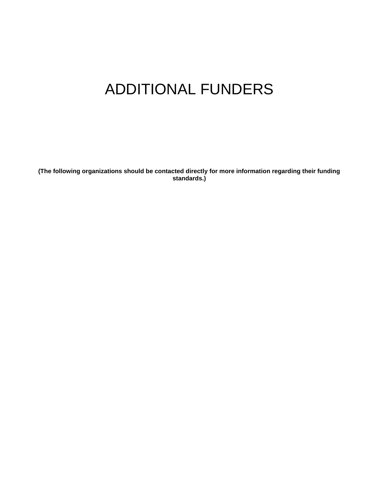## ADDITIONAL FUNDERS

**(The following organizations should be contacted directly for more information regarding their funding standards.)**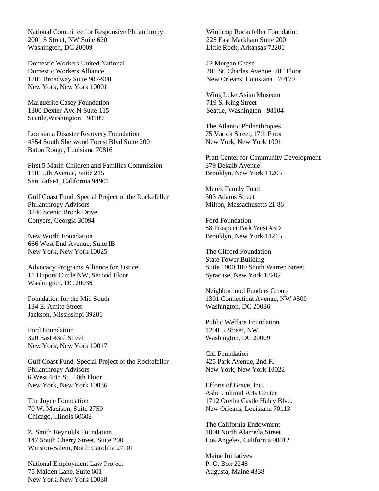National Committee for Responsive Philanthropy Winthrop Rockefeller Foundation 2001 S Street, NW Suite 620 225 East Markham Suite 200 Washington, DC 20009 Little Rock, Arkansas 72201

Domestic Workers United National JP Morgan Chase Domestic Workers Alliance<br>
1201 St. Charles Avenue, 28<sup>th</sup> Floor<br>
1201 Broadway Suite 907-908<br>
201 St. Charles Avenue, 28<sup>th</sup> Floor 1201 Broadway Suite 907-908 New York, New York 10001

Marguerite Casey Foundation<br>
1300 Dexter Ave N Suite 115 Seattle, Washington 98104 1300 Dexter Ave N Suite 115 Seattle,Washington 98109

Louisiana Disaster Recovery Foundation 4354 South Sherwood Forest Blvd Suite 200 Baton Rouge, Louisiana 70816

First 5 Marin Children and Families Commission 1101 5th Avenue, Suite 215 San Rafae1, California 94901

Gulf Coast Fund, Special Project of the Rockefeller Philanthropy Advisors 3240 Scenic Brook Drive Conyers, Georgia 30094

New World Foundation 666 West End Avenue, Suite IB New York, New York 10025

Advocacy Programs Alliance for Justice 11 Dupont Circle NW, Second Floor Washington, DC 20036

Foundation for the Mid South 134 E. Amite Street Jackson, Mississippi 39201

Ford Foundation 320 East 43rd Street New York, New York 10017

Gulf Coast Fund, Special Project of the Rockefeller Philanthropy Advisors 6 West 48th St., 10th Floor New York, New York 10036

The Joyce Foundation 70 W. Madison, Suite 2750 Chicago, lllinois 60602

Z. Smith Reynolds Foundation 147 South Cherry Street, Suite 200 Winston-Salem, North Carolina 27101

National Employment Law Project 75 Maiden Lane, Suite 601 New York, New York 10038

Wing Luke Asian Museum<br>719 S. King Street

The Atlantic Philanthropies 75 Varick Street, 17th Floor New York, New York 1001

Pratt Center for Community Development 379 Dekalb Avenue Brooklyn, New York 11205

Merck Family Fund 303 Adams Street Milton, Massachusetts 21 86

Ford Foundation 88 Prospect Park West #3D Brooklyn, New York 11215

The Gifford Foundation State Tower Building Suite 1900 109 South Warren Street Syracuse, New York 13202

Neighborhood Funders Group 1301 Connecticut Avenue, NW #500 Washington, DC 20036

Public Welfare Foundation 1200 U Street, NW Washington, DC 20009

Citi Foundation 425 Park Avenue, 2nd FI New York, New York 10022

Efforts of Grace, Inc. Ashe Cultural Arts Center 1712 Oretha Castle Haley Blvd. New Orleans, Louisiana 70113

The California Endowment 1000 North Alameda Street Los Angeles, California 90012

Maine Initiatives P. O. Box 2248 Augusta, Maine 4338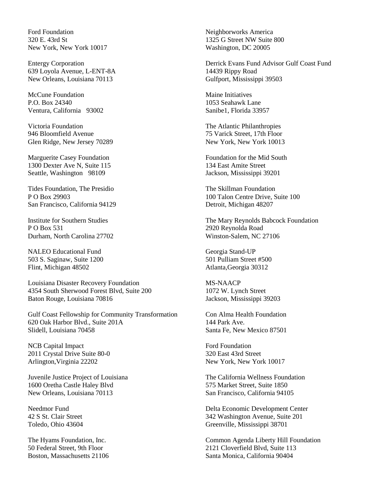Ford Foundation 320 E. 43rd St New York, New York 10017

Entergy Corporation 639 Loyola Avenue, L-ENT-8A New Orleans, Louisiana 70113

McCune Foundation P.O. Box 24340 Ventura, California 93002

Victoria Foundation 946 Bloomfield Avenue Glen Ridge, New Jersey 70289

Marguerite Casey Foundation 1300 Dexter Ave N, Suite 115 Seattle, Washington 98109

Tides Foundation, The Presidio P O Box 29903 San Francisco, California 94129

Institute for Southern Studies P O Box 531 Durham, North Carolina 27702

NALEO Educational Fund 503 S. Saginaw, Suite 1200 Flint, Michigan 48502

Louisiana Disaster Recovery Foundation 4354 South Sherwood Forest Blvd, Suite 200 Baton Rouge, Louisiana 70816

Gulf Coast Fellowship for Community Transformation 620 Oak Harbor Blvd., Suite 201A Slidell, Louisiana 70458

NCB Capital Impact 2011 Crystal Drive Suite 80-0 Arlington,Virginia 22202

Juvenile Justice Project of Louisiana 1600 Oretha Castle Haley Blvd New Orleans, Louisiana 70113

Needmor Fund 42 S St. Clair Street Toledo, Ohio 43604

The Hyams Foundation, Inc. 50 Federal Street, 9th Floor Boston, Massachusetts 21106 Neighborworks America 1325 G Street NW Suite 800 Washington, DC 20005

Derrick Evans Fund Advisor Gulf Coast Fund 14439 Rippy Road Gulfport, Mississippi 39503

Maine Initiatives 1053 Seahawk Lane Sanibe1, Florida 33957

The Atlantic Philanthropies 75 Varick Street, 17th Floor New York, New York 10013

Foundation for the Mid South 134 East Amite Street Jackson, Mississippi 39201

The Skillman Foundation 100 Talon Centre Drive, Suite 100 Detroit, Michigan 48207

The Mary Reynolds Babcock Foundation 2920 Reynolda Road Winston-Salem, NC 27106

Georgia Stand-UP 501 Pulliam Street #500 Atlanta,Georgia 30312

MS-NAACP 1072 W. Lynch Street Jackson, Mississippi 39203

Con Alma Health Foundation 144 Park Ave. Santa Fe, New Mexico 87501

Ford Foundation 320 East 43rd Street New York, New York 10017

The California Wellness Foundation 575 Market Street, Suite 1850 San Francisco, California 94105

Delta Economic Development Center 342 Washington Avenue, Suite 201 Greenville, Mississippi 38701

Common Agenda Liberty Hill Foundation 2121 Cloverfield Blvd, Suite 113 Santa Monica, California 90404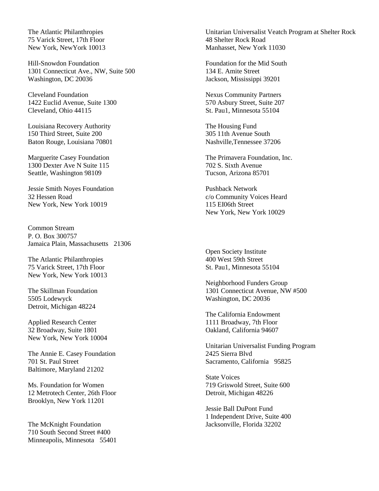The Atlantic Philanthropies 75 Varick Street, 17th Floor New York, NewYork 10013

Hill-Snowdon Foundation 1301 Connecticut Ave., NW, Suite 500 Washington, DC 20036

Cleveland Foundation 1422 Euclid Avenue, Suite 1300 Cleveland, Ohio 44115

Louisiana Recovery Authority 150 Third Street, Suite 200 Baton Rouge, Louisiana 70801

Marguerite Casey Foundation 1300 Dexter Ave N Suite 115 Seattle, Washington 98109

Jessie Smith Noyes Foundation 32 Hessen Road New York, New York 10019

Common Stream P. O. Box 300757 Jamaica Plain, Massachusetts 21306

The Atlantic Philanthropies 75 Varick Street, 17th Floor New York, New York 10013

The Skillman Foundation 5505 Lodewyck Detroit, Michigan 48224

Applied Research Center 32 Broadway, Suite 1801 New York, New York 10004

The Annie E. Casey Foundation 701 St. Paul Street Baltimore, Maryland 21202

Ms. Foundation for Women 12 Metrotech Center, 26th Floor Brooklyn, New York 11201

The McKnight Foundation 710 South Second Street #400 Minneapolis, Minnesota 55401

Unitarian Universalist Veatch Program at Shelter Rock 48 Shelter Rock Road Manhasset, New York 11030

Foundation for the Mid South 134 E. Amite Street Jackson, Mississippi 39201

Nexus Community Partners 570 Asbury Street, Suite 207 St. Pau1, Minnesota 55104

The Housing Fund 305 11th Avenue South Nashville,Tennessee 37206

The Primavera Foundation, Inc. 702 S. Sixth Avenue Tucson, Arizona 85701

Pushback Network c/o Community Voices Heard 115 EI06th Street New York, New York 10029

Open Society Institute 400 West 59th Street St. Pau1, Minnesota 55104

Neighborhood Funders Group 1301 Connecticut Avenue, NW #500 Washington, DC 20036

The California Endowment 1111 Broadway, 7th Floor Oakland, California 94607

Unitarian Universalist Funding Program 2425 Sierra Blvd Sacramento, California 95825

State Voices 719 Griswold Street, Suite 600 Detroit, Michigan 48226

Jessie Ball DuPont Fund 1 Independent Drive, Suite 400 Jacksonville, Florida 32202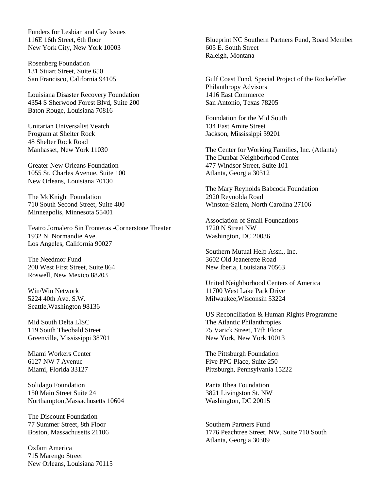Funders for Lesbian and Gay Issues 116E 16th Street, 6th floor New York City, New York 10003

Rosenberg Foundation 131 Stuart Street, Suite 650 San Francisco, California 94105

Louisiana Disaster Recovery Foundation 4354 S Sherwood Forest Blvd, Suite 200 Baton Rouge, Louisiana 70816

Unitarian Universalist Veatch Program at Shelter Rock 48 Shelter Rock Road Manhasset, New York 11030

Greater New Orleans Foundation 1055 St. Charles Avenue, Suite 100 New Orleans, Louisiana 70130

The McKnight Foundation 710 South Second Street, Suite 400 Minneapolis, Minnesota 55401

Teatro Jornalero Sin Fronteras -Cornerstone Theater 1932 N. Normandie Ave. Los Angeles, California 90027

The Needmor Fund 200 West First Street, Suite 864 Roswell, New Mexico 88203

Win/Win Network 5224 40th Ave. S.W. Seattle,Washington 98136

Mid South Delta LlSC 119 South Theobald Street Greenville, Mississippi 38701

Miami Workers Center 6127 NW 7 Avenue Miami, Florida 33127

Solidago Foundation 150 Main Street Suite 24 Northampton,Massachusetts 10604

The Discount Foundation 77 Summer Street, 8th Floor Boston, Massachusetts 21106

Oxfam America 715 Marengo Street New Orleans, Louisiana 70115 Blueprint NC Southern Partners Fund, Board Member 605 E. South Street Raleigh, Montana

Gulf Coast Fund, Special Project of the Rockefeller Philanthropy Advisors 1416 East Commerce San Antonio, Texas 78205

Foundation for the Mid South 134 East Amite Street Jackson, Mississippi 39201

The Center for Working Families, Inc. (Atlanta) The Dunbar Neighborhood Center 477 Windsor Street, Suite 101 Atlanta, Georgia 30312

The Mary Reynolds Babcock Foundation 2920 Reynolda Road Winston-Salem, North Carolina 27106

Association of Small Foundations 1720 N Street NW Washington, DC 20036

Southern Mutual Help Assn., Inc. 3602 Old Jeanerette Road New Iberia, Louisiana 70563

United Neighborhood Centers of America 11700 West Lake Park Drive Milwaukee,Wisconsin 53224

US Reconciliation & Human Rights Programme The Atlantic Philanthropies 75 Varick Street, 17th Floor New York, New York 10013

The Pittsburgh Foundation Five PPG Place, Suite 250 Pittsburgh, Pennsylvania 15222

Panta Rhea Foundation 3821 Livingston St. NW Washington, DC 20015

Southern Partners Fund 1776 Peachtree Street, NW, Suite 710 South Atlanta, Georgia 30309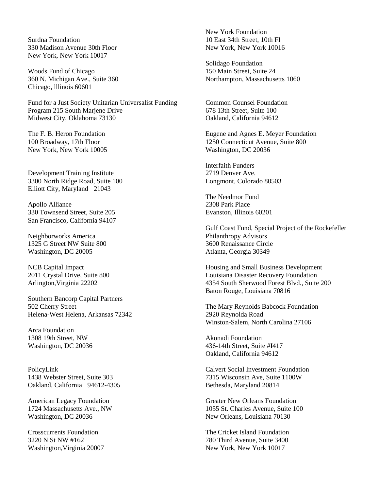Surdna Foundation 330 Madison Avenue 30th Floor New York, New York 10017

Woods Fund of Chicago 360 N. Michigan Ave., Suite 360 Chicago, lllinois 60601

Fund for a Just Society Unitarian Universalist Funding Program 215 South Marjene Drive Midwest City, Oklahoma 73130

The F. B. Heron Foundation 100 Broadway, 17th Floor New York, New York 10005

Development Training Institute 3300 North Ridge Road, Suite 100 Elliott City, Maryland 21043

Apollo Alliance 330 Townsend Street, Suite 205 San Francisco, California 94107

Neighborworks America 1325 G Street NW Suite 800 Washington, DC 20005

NCB Capital Impact 2011 Crystal Drive, Suite 800 Arlington,Virginia 22202

Southern Bancorp Capital Partners 502 Cherry Street Helena-West Helena, Arkansas 72342

Arca Foundation 1308 19th Street, NW Washington, DC 20036

PolicyLink 1438 Webster Street, Suite 303 Oakland, California 94612-4305

American Legacy Foundation 1724 Massachusetts Ave., NW Washington, DC 20036

Crosscurrents Foundation 3220 N St NW #162 Washington,Virginia 20007 New York Foundation 10 East 34th Street, 10th FI New York, New York 10016

Solidago Foundation 150 Main Street, Suite 24 Northampton, Massachusetts 1060

Common Counsel Foundation 678 13th Street, Suite 100 Oakland, California 94612

Eugene and Agnes E. Meyer Foundation 1250 Connecticut Avenue, Suite 800 Washington, DC 20036

Interfaith Funders 2719 Denver Ave. Longmont, Colorado 80503

The Needmor Fund 2308 Park Place Evanston, Illinois 60201

Gulf Coast Fund, Special Project of the Rockefeller Philanthropy Advisors 3600 Renaissance Circle Atlanta, Georgia 30349

Housing and Small Business Development Louisiana Disaster Recovery Foundation 4354 South Sherwood Forest Blvd., Suite 200 Baton Rouge, Louisiana 70816

The Mary Reynolds Babcock Foundation 2920 Reynolda Road Winston-Salem, North Carolina 27106

Akonadi Foundation 436-14th Street, Suite #I417 Oakland, California 94612

Calvert Social Investment Foundation 7315 Wisconsin Ave, Suite 1100W Bethesda, Maryland 20814

Greater New Orleans Foundation 1055 St. Charles Avenue, Suite 100 New Orleans, Louisiana 70130

The Cricket Island Foundation 780 Third Avenue, Suite 3400 New York, New York 10017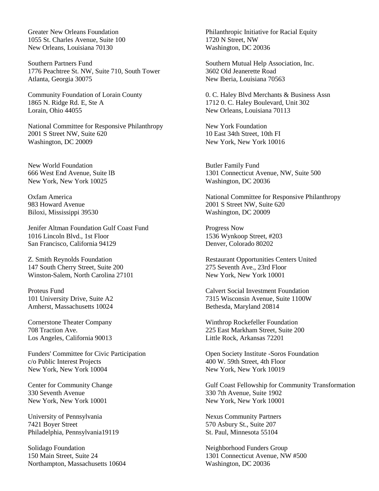Greater New Orleans Foundation 1055 St. Charles Avenue, Suite 100 New Orleans, Louisiana 70130

Southern Partners Fund 1776 Peachtree St. NW, Suite 710, South Tower Atlanta, Georgia 30075

Community Foundation of Lorain County 1865 N. Ridge Rd. E, Ste A Lorain, Ohio 44055

National Committee for Responsive Philanthropy 2001 S Street NW, Suite 620 Washington, DC 20009

New World Foundation 666 West End Avenue, Suite lB New York, New York 10025

Oxfam America 983 Howard Avenue Biloxi, Mississippi 39530

Jenifer Altman Foundation Gulf Coast Fund 1016 Lincoln Blvd., 1st Floor San Francisco, California 94129

Z. Smith Reynolds Foundation 147 South Cherry Street, Suite 200 Winston-Salem, North Carolina 27101

Proteus Fund 101 University Drive, Suite A2 Amherst, Massachusetts 10024

Cornerstone Theater Company 708 Traction Ave. Los Angeles, California 90013

Funders' Committee for Civic Participation c/o Public Interest Projects New York, New York 10004

Center for Community Change 330 Seventh Avenue New York, New York 10001

University of Pennsylvania 7421 Boyer Street Philadelphia, Pennsylvania19119

Solidago Foundation 150 Main Street, Suite 24 Northampton, Massachusetts 10604 Philanthropic Initiative for Racial Equity 1720 N Street, NW Washington, DC 20036

Southern Mutual Help Association, Inc. 3602 Old Jeanerette Road New Iberia, Louisiana 70563

0. C. Haley Blvd Merchants & Business Assn 1712 0. C. Haley Boulevard, Unit 302 New Orleans, Louisiana 70113

New York Foundation 10 East 34th Street, 10th FI New York, New York 10016

Butler Family Fund 1301 Connecticut Avenue, NW, Suite 500 Washington, DC 20036

National Committee for Responsive Philanthropy 2001 S Street NW, Suite 620 Washington, DC 20009

Progress Now 1536 Wynkoop Street, #203 Denver, Colorado 80202

Restaurant Opportunities Centers United 275 Seventh Ave., 23rd Floor New York, New York 10001

Calvert Social Investment Foundation 7315 Wisconsin Avenue, Suite 1100W Bethesda, Maryland 20814

Winthrop Rockefeller Foundation 225 East Markham Street, Suite 200 Little Rock, Arkansas 72201

Open Society Institute -Soros Foundation 400 W. 59th Street, 4th Floor New York, New York 10019

Gulf Coast Fellowship for Community Transformation 330 7th Avenue, Suite 1902 New York, New York 10001

Nexus Community Partners 570 Asbury St., Suite 207 St. Paul, Minnesota 55104

Neighborhood Funders Group 1301 Connecticut Avenue, NW #500 Washington, DC 20036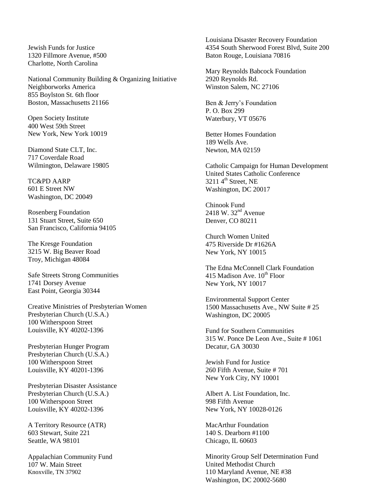Jewish Funds for Justice 1320 Fillmore Avenue, #500 Charlotte, North Carolina

National Community Building & Organizing Initiative Neighborworks America 855 Boylston St. 6th floor Boston, Massachusetts 21166

Open Society Institute 400 West 59th Street New York, New York 10019

Diamond State CLT, Inc. 717 Coverdale Road Wilmington, Delaware 19805

TC&PD AARP 601 E Street NW Washington, DC 20049

Rosenberg Foundation 131 Stuart Street, Suite 650 San Francisco, California 94105

The Kresge Foundation 3215 W. Big Beaver Road Troy, Michigan 48084

Safe Streets Strong Communities 1741 Dorsey Avenue East Point, Georgia 30344

Creative Ministries of Presbyterian Women Presbyterian Church (U.S.A.) 100 Witherspoon Street Louisville, KY 40202-1396

Presbyterian Hunger Program Presbyterian Church (U.S.A.) 100 Witherspoon Street Louisville, KY 40201-1396

Presbyterian Disaster Assistance Presbyterian Church (U.S.A.) 100 Witherspoon Street Louisville, KY 40202-1396

A Territory Resource (ATR) 603 Stewart, Suite 221 Seattle, WA 98101

Appalachian Community Fund 107 W. Main Street Knoxville, TN 37902

Louisiana Disaster Recovery Foundation 4354 South Sherwood Forest Blvd, Suite 200 Baton Rouge, Louisiana 70816

Mary Reynolds Babcock Foundation 2920 Reynolds Rd. Winston Salem, NC 27106

Ben & Jerry's Foundation P. O. Box 299 Waterbury, VT 05676

Better Homes Foundation 189 Wells Ave. Newton, MA 02159

Catholic Campaign for Human Development United States Catholic Conference  $32114^{\text{th}}$  Street, NE Washington, DC 20017

Chinook Fund  $2418 \text{ W}$ .  $32^{\text{nd}}$  Avenue Denver, CO 80211

Church Women United 475 Riverside Dr #1626A New York, NY 10015

The Edna McConnell Clark Foundation 415 Madison Ave.  $10^{th}$  Floor New York, NY 10017

Environmental Support Center 1500 Massachusetts Ave., NW Suite # 25 Washington, DC 20005

Fund for Southern Communities 315 W. Ponce De Leon Ave., Suite # 1061 Decatur, GA 30030

Jewish Fund for Justice 260 Fifth Avenue, Suite # 701 New York City, NY 10001

Albert A. List Foundation, Inc. 998 Fifth Avenue New York, NY 10028-0126

MacArthur Foundation 140 S. Dearborn #1100 Chicago, IL 60603

Minority Group Self Determination Fund United Methodist Church 110 Maryland Avenue, NE #38 Washington, DC 20002-5680